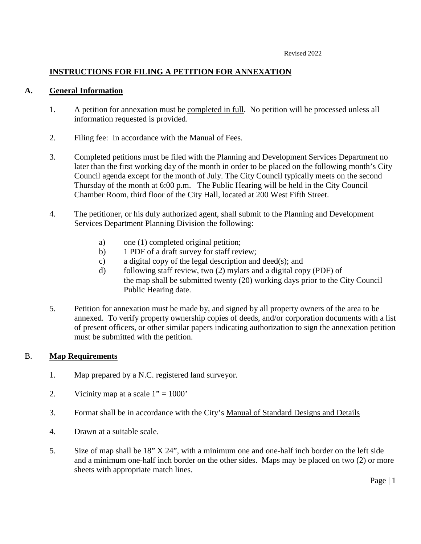# **INSTRUCTIONS FOR FILING A PETITION FOR ANNEXATION**

### **A. General Information**

- 1. A petition for annexation must be completed in full. No petition will be processed unless all information requested is provided.
- 2. Filing fee: In accordance with the Manual of Fees.
- 3. Completed petitions must be filed with the Planning and Development Services Department no later than the first working day of the month in order to be placed on the following month's City Council agenda except for the month of July. The City Council typically meets on the second Thursday of the month at 6:00 p.m. The Public Hearing will be held in the City Council Chamber Room, third floor of the City Hall, located at 200 West Fifth Street.
- 4. The petitioner, or his duly authorized agent, shall submit to the Planning and Development Services Department Planning Division the following:
	- a) one (1) completed original petition;
	- b) 1 PDF of a draft survey for staff review;
	- c) a digital copy of the legal description and deed(s); and
	- d) following staff review, two (2) mylars and a digital copy (PDF) of the map shall be submitted twenty (20) working days prior to the City Council Public Hearing date.
- 5. Petition for annexation must be made by, and signed by all property owners of the area to be annexed. To verify property ownership copies of deeds, and/or corporation documents with a list of present officers, or other similar papers indicating authorization to sign the annexation petition must be submitted with the petition.

## B. **Map Requirements**

- 1. Map prepared by a N.C. registered land surveyor.
- 2. Vicinity map at a scale  $1" = 1000"$
- 3. Format shall be in accordance with the City's Manual of Standard Designs and Details
- 4. Drawn at a suitable scale.
- 5. Size of map shall be 18" X 24", with a minimum one and one-half inch border on the left side and a minimum one-half inch border on the other sides. Maps may be placed on two (2) or more sheets with appropriate match lines.

Page | 1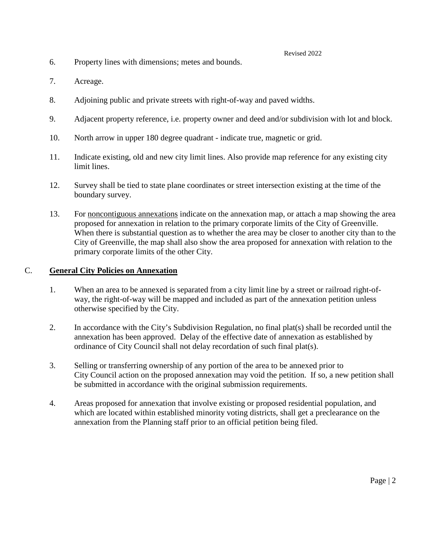#### Revised 2022

- 6. Property lines with dimensions; metes and bounds.
- 7. Acreage.
- 8. Adjoining public and private streets with right-of-way and paved widths.
- 9. Adjacent property reference, i.e. property owner and deed and/or subdivision with lot and block.
- 10. North arrow in upper 180 degree quadrant indicate true, magnetic or grid.
- 11. Indicate existing, old and new city limit lines. Also provide map reference for any existing city limit lines.
- 12. Survey shall be tied to state plane coordinates or street intersection existing at the time of the boundary survey.
- 13. For noncontiguous annexations indicate on the annexation map, or attach a map showing the area proposed for annexation in relation to the primary corporate limits of the City of Greenville. When there is substantial question as to whether the area may be closer to another city than to the City of Greenville, the map shall also show the area proposed for annexation with relation to the primary corporate limits of the other City.

### C. **General City Policies on Annexation**

- 1. When an area to be annexed is separated from a city limit line by a street or railroad right-ofway, the right-of-way will be mapped and included as part of the annexation petition unless otherwise specified by the City.
- 2. In accordance with the City's Subdivision Regulation, no final plat(s) shall be recorded until the annexation has been approved. Delay of the effective date of annexation as established by ordinance of City Council shall not delay recordation of such final plat(s).
- 3. Selling or transferring ownership of any portion of the area to be annexed prior to City Council action on the proposed annexation may void the petition. If so, a new petition shall be submitted in accordance with the original submission requirements.
- 4. Areas proposed for annexation that involve existing or proposed residential population, and which are located within established minority voting districts, shall get a preclearance on the annexation from the Planning staff prior to an official petition being filed.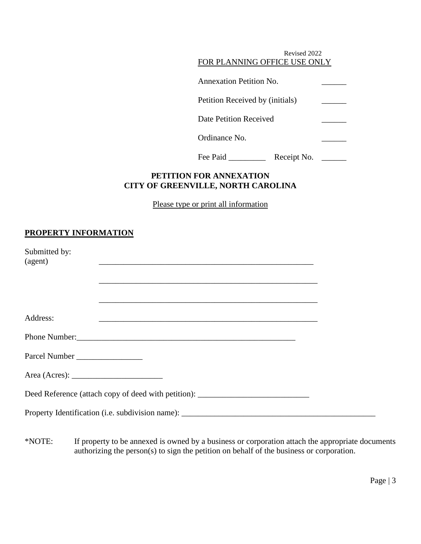| Revised 2022<br>FOR PLANNING OFFICE USE ONLY |  |
|----------------------------------------------|--|
| <b>Annexation Petition No.</b>               |  |
| Petition Received by (initials)              |  |
| Date Petition Received                       |  |
| Ordinance No.                                |  |
| Fee Paid<br>Receipt No.                      |  |

## **PETITION FOR ANNEXATION CITY OF GREENVILLE, NORTH CAROLINA**

Please type or print all information

# **PROPERTY INFORMATION**

| Submitted by:<br>(agent)                                         |                                                                                   |  |
|------------------------------------------------------------------|-----------------------------------------------------------------------------------|--|
|                                                                  |                                                                                   |  |
|                                                                  |                                                                                   |  |
| Address:                                                         | <u> 1980 - Jan Barbara, margaretar margaretar (h. 1980).</u>                      |  |
|                                                                  |                                                                                   |  |
|                                                                  |                                                                                   |  |
| Area (Acres): $\frac{1}{\sqrt{1-\frac{1}{2}} \cdot \frac{1}{2}}$ |                                                                                   |  |
|                                                                  | Deed Reference (attach copy of deed with petition): _____________________________ |  |
|                                                                  |                                                                                   |  |

\*NOTE: If property to be annexed is owned by a business or corporation attach the appropriate documents authorizing the person(s) to sign the petition on behalf of the business or corporation.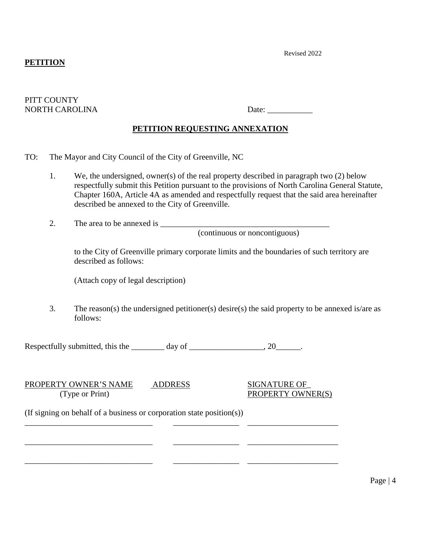## **PETITION**

Revised 2022

#### PITT COUNTY NORTH CAROLINA Date: \_\_\_\_\_\_\_\_\_\_\_

# **PETITION REQUESTING ANNEXATION**

- TO: The Mayor and City Council of the City of Greenville, NC
	- 1. We, the undersigned, owner(s) of the real property described in paragraph two (2) below respectfully submit this Petition pursuant to the provisions of North Carolina General Statute, Chapter 160A, Article 4A as amended and respectfully request that the said area hereinafter described be annexed to the City of Greenville.
	- 2. The area to be annexed is \_\_\_\_\_\_\_\_\_\_\_\_\_\_\_\_\_\_\_\_\_\_\_\_\_\_\_\_\_\_\_\_\_\_\_\_\_\_\_\_\_

(continuous or noncontiguous)

to the City of Greenville primary corporate limits and the boundaries of such territory are described as follows:

(Attach copy of legal description)

3. The reason(s) the undersigned petitioner(s) desire(s) the said property to be annexed is/are as follows:

Respectfully submitted, this the \_\_\_\_\_\_\_\_ day of \_\_\_\_\_\_\_\_\_\_\_\_\_\_\_\_, 20\_\_\_\_\_\_.

\_\_\_\_\_\_\_\_\_\_\_\_\_\_\_\_\_\_\_\_\_\_\_\_\_\_\_\_\_\_\_ \_\_\_\_\_\_\_\_\_\_\_\_\_\_\_\_ \_\_\_\_\_\_\_\_\_\_\_\_\_\_\_\_\_\_\_\_\_\_

PROPERTY OWNER'S NAME ADDRESS SIGNATURE OF (Type or Print) PROPERTY OWNER(S)

\_\_\_\_\_\_\_\_\_\_\_\_\_\_\_\_\_\_\_\_\_\_\_\_\_\_\_\_\_\_\_ \_\_\_\_\_\_\_\_\_\_\_\_\_\_\_\_ \_\_\_\_\_\_\_\_\_\_\_\_\_\_\_\_\_\_\_\_\_\_

\_\_\_\_\_\_\_\_\_\_\_\_\_\_\_\_\_\_\_\_\_\_\_\_\_\_\_\_\_\_\_ \_\_\_\_\_\_\_\_\_\_\_\_\_\_\_\_ \_\_\_\_\_\_\_\_\_\_\_\_\_\_\_\_\_\_\_\_\_\_

(If signing on behalf of a business or corporation state position(s))

Page | 4